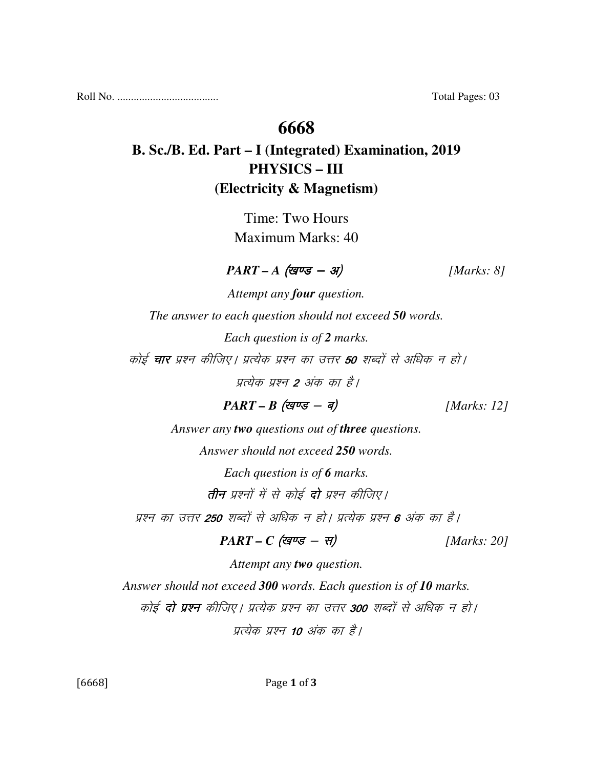Roll No. ..................................... Total Pages: 03

### **6668**

# **B. Sc./B. Ed. Part – I (Integrated) Examination, 2019 PHYSICS – III (Electricity & Magnetism)**

Time: Two Hours Maximum Marks: 40

 $\textit{PART - A} \text{ (gug - 3)}$  [Marks: 8]

*Attempt any four question. The answer to each question should not exceed 50 words. Each question is of 2 marks.*  कोई **चार** प्रश्न कीजिए। प्रत्येक प्रश्न का उत्तर **50** शब्दों से अधिक न हो। प्रत्येक प्रश्न 2 अंक का है।  $PART - B$  (*खण्ड* - *ब*) [*Marks: 12*]

*Answer any two questions out of three questions.* 

*Answer should not exceed 250 words.* 

*Each question is of 6 marks.*  तीन प्रश्नों में से कोई **दो** प्रश्न कीजिए।

प्रश्न का उत्तर **250** शब्दों से अधिक न हो। प्रत्येक प्रश्न **6** अंक का है।

$$
PART - C \text{ (gives - }\pi) \qquad [Marks: 20]
$$

*Attempt any two question. Answer should not exceed 300 words. Each question is of 10 marks.*  कोई **दो प्रश्न** कीजिए। प्रत्येक प्रश्न का उत्तर 300 शब्दों से अधिक न हो। प्रत्येक प्रश्न 10 अंक का है।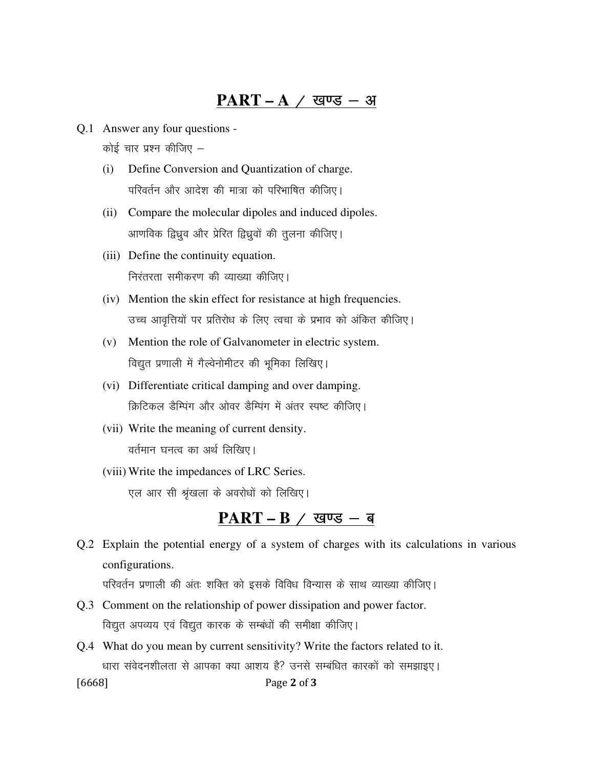#### $PART - A / Q$  खण्ड - अ

- Q.1 Answer any four questions कोई चार प्रश्न कीजिए  $-$ 
	- (i) Define Conversion and Quantization of charge. परिवर्तन और आदेश की मात्रा को परिभाषित कीजिए।
	- (ii) Compare the molecular dipoles and induced dipoles. आणविक द्विध्रुव और प्रेरित द्विध्रुवों की तुलना कीजिए।
	- (iii) Define the continuity equation. निरंतरता समीकरण की व्याख्या कीजिए।
	- (iv) Mention the skin effect for resistance at high frequencies. उच्च आवृत्तियों पर प्रतिरोध के लिए त्वचा के प्रभाव को अंकित कीजिए।
	- (v) Mention the role of Galvanometer in electric system. विद्युत प्रणाली में गैल्वेनोमीटर की भूमिका लिखिए।
	- (vi) Differentiate critical damping and over damping. क्रिटिकल डैम्पिंग और ओवर डैम्पिंग में अंतर स्पष्ट कीजिए।
	- (vii) Write the meaning of current density. वर्तमान घनत्व का अर्थ लिखिए।
	- (viii) Write the impedances of LRC Series. एल आर सी श्रृंखला के अवरोधों को लिखिए।

### PART – B / खण्ड – ब

Q.2 Explain the potential energy of a system of charges with its calculations in various configurations.

परिवर्तन प्रणाली की अंतः शक्ति को इसके विविध विन्यास के साथ व्याख्या कीजिए।

- Q.3 Comment on the relationship of power dissipation and power factor. विद्युत अपव्यय एवं विद्युत कारक के सम्बंधों की समीक्षा कीजिए।
- [6668] Page 2 of 3 Q.4 What do you mean by current sensitivity? Write the factors related to it. धारा संवेदनशीलता से आपका क्या आशय है? उनसे सम्बंधित कारकों को समझाइए।